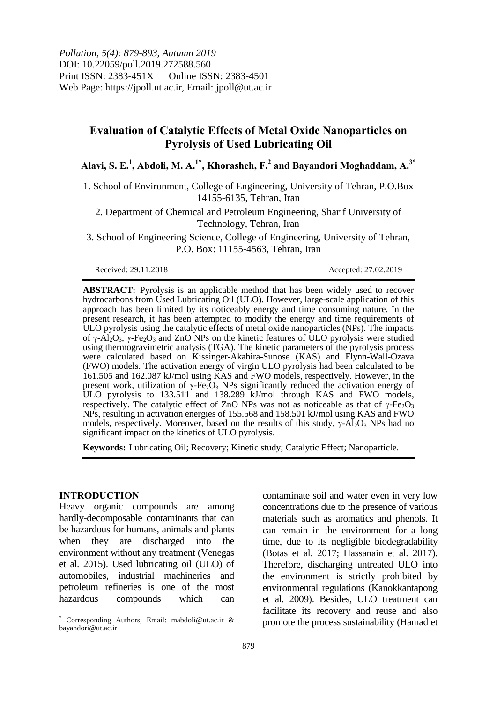# **Evaluation of Catalytic Effects of Metal Oxide Nanoparticles on Pyrolysis of Used Lubricating Oil**

**Alavi, S. E. 1 , Abdoli, M. A. 1\*, Khorasheh, F.<sup>2</sup> and Bayandori Moghaddam, A.3\***

1. School of Environment, College of Engineering, University of Tehran, P.O.Box 14155-6135, Tehran, Iran

2. Department of Chemical and Petroleum Engineering, Sharif University of Technology, Tehran, Iran

3. School of Engineering Science, College of Engineering, University of Tehran, P.O. Box: 11155-4563, Tehran, Iran

Received: 29.11.2018 Accepted: 27.02.2019

**ABSTRACT:** Pyrolysis is an applicable method that has been widely used to recover hydrocarbons from Used Lubricating Oil (ULO). However, large-scale application of this approach has been limited by its noticeably energy and time consuming nature. In the present research, it has been attempted to modify the energy and time requirements of ULO pyrolysis using the catalytic effects of metal oxide nanoparticles (NPs). The impacts of  $\gamma$ -Al<sub>2</sub>O<sub>3</sub>,  $\gamma$ -Fe<sub>2</sub>O<sub>3</sub> and ZnO NPs on the kinetic features of ULO pyrolysis were studied using thermogravimetric analysis (TGA). The kinetic parameters of the pyrolysis process were calculated based on Kissinger-Akahira-Sunose (KAS) and Flynn-Wall-Ozava (FWO) models. The activation energy of virgin ULO pyrolysis had been calculated to be 161.505 and 162.087 kJ/mol using KAS and FWO models, respectively. However, in the present work, utilization of γ-Fe<sub>2</sub>O<sub>3</sub> NPs significantly reduced the activation energy of ULO pyrolysis to 133.511 and 138.289 kJ/mol through KAS and FWO models, respectively. The catalytic effect of ZnO NPs was not as noticeable as that of  $\gamma$ -Fe<sub>2</sub>O<sub>3</sub> NPs, resulting in activation energies of 155.568 and 158.501 kJ/mol using KAS and FWO models, respectively. Moreover, based on the results of this study,  $\gamma$ -Al<sub>2</sub>O<sub>3</sub> NPs had no significant impact on the kinetics of ULO pyrolysis.

**Keywords:** Lubricating Oil; Recovery; Kinetic study; Catalytic Effect; Nanoparticle.

## **INTRODUCTION**

 $\overline{a}$ 

Heavy organic compounds are among hardly-decomposable contaminants that can be hazardous for humans, animals and plants when they are discharged into the environment without any treatment (Venegas et al. 2015). Used lubricating oil (ULO) of automobiles, industrial machineries and petroleum refineries is one of the most hazardous compounds which can

contaminate soil and water even in very low concentrations due to the presence of various materials such as aromatics and phenols. It can remain in the environment for a long time, due to its negligible biodegradability (Botas et al. 2017; Hassanain et al. 2017). Therefore, discharging untreated ULO into the environment is strictly prohibited by environmental regulations (Kanokkantapong et al. 2009). Besides, ULO treatment can facilitate its recovery and reuse and also promote the process sustainability (Hamad et

Corresponding Authors, Email: mabdoli@ut.ac.ir & bayandori@ut.ac.ir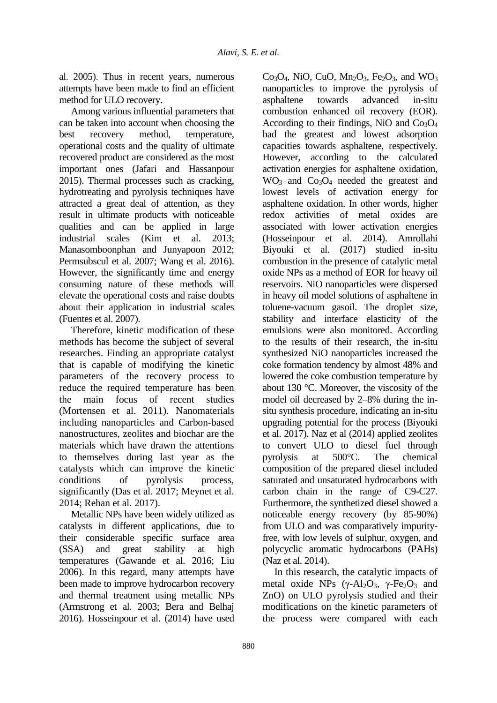al. 2005). Thus in recent years, numerous attempts have been made to find an efficient method for ULO recovery.

Among various influential parameters that can be taken into account when choosing the best recovery method, temperature, operational costs and the quality of ultimate recovered product are considered as the most important ones (Jafari and Hassanpour 2015). Thermal processes such as cracking, hydrotreating and pyrolysis techniques have attracted a great deal of attention, as they result in ultimate products with noticeable qualities and can be applied in large industrial scales (Kim et al. 2013; Manasomboonphan and Junyapoon 2012; Permsubscul et al. 2007; Wang et al. 2016). However, the significantly time and energy consuming nature of these methods will elevate the operational costs and raise doubts about their application in industrial scales (Fuentes et al. 2007).

Therefore, kinetic modification of these methods has become the subject of several researches. Finding an appropriate catalyst that is capable of modifying the kinetic parameters of the recovery process to reduce the required temperature has been the main focus of recent studies (Mortensen et al. 2011). Nanomaterials including nanoparticles and Carbon-based nanostructures, zeolites and biochar are the materials which have drawn the attentions to themselves during last year as the catalysts which can improve the kinetic conditions of pyrolysis process, significantly (Das et al. 2017; Meynet et al. 2014; Rehan et al. 2017).

Metallic NPs have been widely utilized as catalysts in different applications, due to their considerable specific surface area (SSA) and great stability at high temperatures (Gawande et al. 2016; Liu 2006). In this regard, many attempts have been made to improve hydrocarbon recovery and thermal treatment using metallic NPs (Armstrong et al. 2003; Bera and Belhaj 2016). Hosseinpour et al. (2014) have used

 $Co<sub>3</sub>O<sub>4</sub>$ , NiO, CuO, Mn<sub>2</sub>O<sub>3</sub>, Fe<sub>2</sub>O<sub>3</sub>, and WO<sub>3</sub> nanoparticles to improve the pyrolysis of asphaltene towards advanced in-situ combustion enhanced oil recovery (EOR). According to their findings, NiO and  $Co<sub>3</sub>O<sub>4</sub>$ had the greatest and lowest adsorption capacities towards asphaltene, respectively. However, according to the calculated activation energies for asphaltene oxidation,  $WO<sub>3</sub>$  and  $Co<sub>3</sub>O<sub>4</sub>$  needed the greatest and lowest levels of activation energy for asphaltene oxidation. In other words, higher redox activities of metal oxides are associated with lower activation energies (Hosseinpour et al. 2014). Amrollahi Biyouki et al. (2017) studied in-situ combustion in the presence of catalytic metal oxide NPs as a method of EOR for heavy oil reservoirs. NiO nanoparticles were dispersed in heavy oil model solutions of asphaltene in toluene-vacuum gasoil. The droplet size, stability and interface elasticity of the emulsions were also monitored. According to the results of their research, the in-situ synthesized NiO nanoparticles increased the coke formation tendency by almost 48% and lowered the coke combustion temperature by about 130 °C. Moreover, the viscosity of the model oil decreased by 2–8% during the insitu synthesis procedure, indicating an in-situ upgrading potential for the process (Biyouki et al. 2017). Naz et al (2014) applied zeolites to convert ULO to diesel fuel through pyrolysis at 500°C. The chemical composition of the prepared diesel included saturated and unsaturated hydrocarbons with carbon chain in the range of C9-C27. Furthermore, the synthetized diesel showed a noticeable energy recovery (by 85-90%) from ULO and was comparatively impurityfree, with low levels of sulphur, oxygen, and polycyclic aromatic hydrocarbons (PAHs) (Naz et al. 2014).

In this research, the catalytic impacts of metal oxide NPs  $(\gamma-A)_{2}O_{3}$ ,  $\gamma-Fe_{2}O_{3}$  and ZnO) on ULO pyrolysis studied and their modifications on the kinetic parameters of the process were compared with each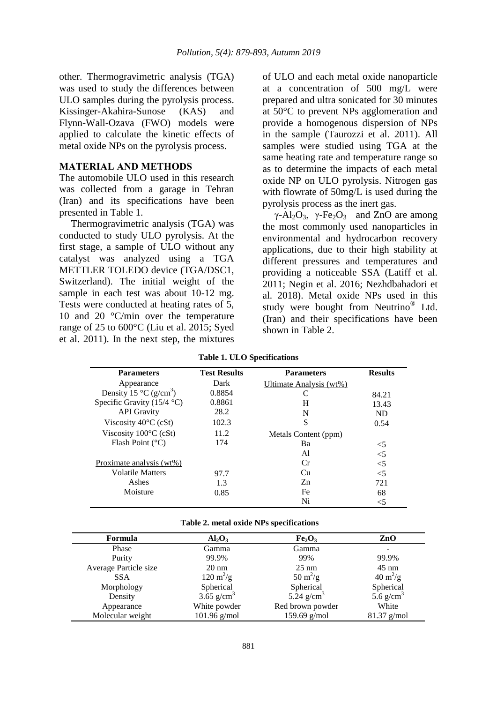other. Thermogravimetric analysis (TGA) was used to study the differences between ULO samples during the pyrolysis process. Kissinger-Akahira-Sunose (KAS) and Flynn-Wall-Ozava (FWO) models were applied to calculate the kinetic effects of metal oxide NPs on the pyrolysis process.

### **MATERIAL AND METHODS**

The automobile ULO used in this research was collected from a garage in Tehran (Iran) and its specifications have been presented in Table 1.

Thermogravimetric analysis (TGA) was conducted to study ULO pyrolysis. At the first stage, a sample of ULO without any catalyst was analyzed using a TGA METTLER TOLEDO device (TGA/DSC1, Switzerland). The initial weight of the sample in each test was about 10-12 mg. Tests were conducted at heating rates of 5, 10 and 20 °C/min over the temperature range of 25 to 600°C (Liu et al. 2015; Syed et al. 2011). In the next step, the mixtures

of ULO and each metal oxide nanoparticle at a concentration of 500 mg/L were prepared and ultra sonicated for 30 minutes at 50°C to prevent NPs agglomeration and provide a homogenous dispersion of NPs in the sample (Taurozzi et al. 2011). All samples were studied using TGA at the same heating rate and temperature range so as to determine the impacts of each metal oxide NP on ULO pyrolysis. Nitrogen gas with flowrate of 50mg/L is used during the pyrolysis process as the inert gas.

 $\gamma$ -Al<sub>2</sub>O<sub>3</sub>,  $\gamma$ -Fe<sub>2</sub>O<sub>3</sub> and ZnO are among the most commonly used nanoparticles in environmental and hydrocarbon recovery applications, due to their high stability at different pressures and temperatures and providing a noticeable SSA (Latiff et al. 2011; Negin et al. 2016; Nezhdbahadori et al. 2018). Metal oxide NPs used in this study were bought from Neutrino® Ltd. (Iran) and their specifications have been shown in Table 2.

| <b>Parameters</b>                            | <b>Test Results</b> | <b>Parameters</b>       | <b>Results</b> |
|----------------------------------------------|---------------------|-------------------------|----------------|
| Appearance                                   | Dark                | Ultimate Analysis (wt%) |                |
| Density 15 $^{\circ}$ C (g/cm <sup>3</sup> ) | 0.8854              |                         | 84.21          |
| Specific Gravity $(15/4 °C)$                 | 0.8861              | Н                       | 13.43          |
| <b>API</b> Gravity                           | 28.2                | N                       | <b>ND</b>      |
| Viscosity $40^{\circ}$ C (cSt)               | 102.3               | S                       | 0.54           |
| Viscosity $100^{\circ}$ C (cSt)              | 11.2                | Metals Content (ppm)    |                |
| Flash Point $(^{\circ}C)$                    | 174                 | Ba                      | $<$ 5          |
|                                              |                     | A1                      | $<$ 5          |
| Proximate analysis (wt%)                     |                     | Сr                      | $<$ 5          |
| <b>Volatile Matters</b>                      | 97.7                | Cu                      | $<$ 5          |
| Ashes                                        | 1.3                 | Zn                      | 721            |
| Moisture                                     | 0.85                | Fe                      | 68             |
|                                              |                     | Ni                      | <5             |

**Table 1. ULO Specifications**

| Formula               | $Al_2O_3$                  | Fe <sub>2</sub> O <sub>3</sub> | ZnO                       |  |
|-----------------------|----------------------------|--------------------------------|---------------------------|--|
| Phase                 | Gamma                      | Gamma                          |                           |  |
| Purity                | 99.9%                      | 99%                            | 99.9%                     |  |
| Average Particle size | $20 \text{ nm}$            | $25 \text{ nm}$                | $45 \text{ nm}$           |  |
| <b>SSA</b>            | $120 \text{ m}^2/\text{g}$ | $50 \text{ m}^2\text{/g}$      | $40 \text{ m}^2/\text{g}$ |  |
| Morphology            | Spherical                  | Spherical                      | Spherical                 |  |
| Density               | 3.65 $g/cm^3$              | 5.24 $g/cm3$                   | 5.6 $g/cm^3$              |  |
| Appearance            | White powder               | Red brown powder               | White                     |  |
| Molecular weight      | $101.96$ g/mol             | 159.69 $g/mol$                 | $81.37$ g/mol             |  |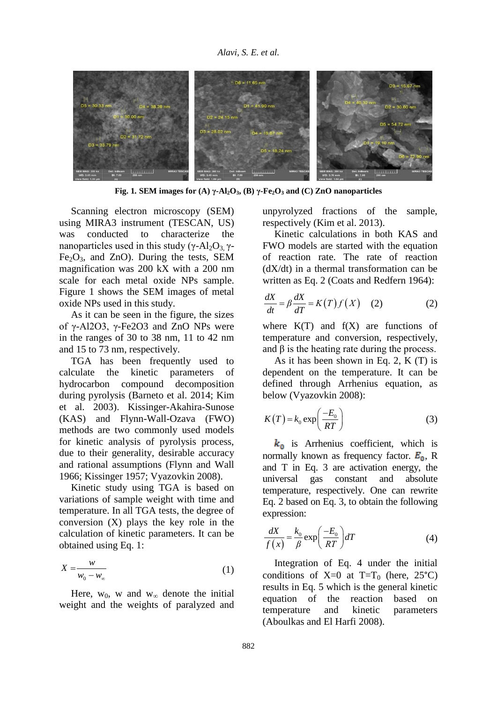

**Fig. 1***.* **SEM** images for (A)  $\gamma$ -Al<sub>2</sub>O<sub>3</sub>, (B)  $\gamma$ -Fe<sub>2</sub>O<sub>3</sub> and (C) ZnO nanoparticles

Scanning electron microscopy (SEM) using MIRA3 instrument (TESCAN, US) was conducted to characterize the nanoparticles used in this study (γ-Al<sub>2</sub>O<sub>3</sub> γ- $Fe<sub>2</sub>O<sub>3</sub>$ , and ZnO). During the tests, SEM magnification was 200 kX with a 200 nm scale for each metal oxide NPs sample. Figure 1 shows the SEM images of metal oxide NPs used in this study.

As it can be seen in the figure, the sizes of γ-Al2O3, γ-Fe2O3 and ZnO NPs were in the ranges of 30 to 38 nm, 11 to 42 nm and 15 to 73 nm, respectively.

TGA has been frequently used to calculate the kinetic parameters of hydrocarbon compound decomposition during pyrolysis (Barneto et al. 2014; Kim et al. 2003). Kissinger-Akahira-Sunose (KAS) and Flynn-Wall-Ozava (FWO) methods are two commonly used models for kinetic analysis of pyrolysis process, due to their generality, desirable accuracy and rational assumptions (Flynn and Wall 1966; Kissinger 1957; Vyazovkin 2008).

Kinetic study using TGA is based on variations of sample weight with time and temperature. In all TGA tests, the degree of conversion (X) plays the key role in the calculation of kinetic parameters. It can be obtained using Eq. 1:

$$
X = \frac{w}{w_0 - w_\infty} \tag{1}
$$

Here,  $w_0$ , w and  $w_\infty$  denote the initial weight and the weights of paralyzed and unpyrolyzed fractions of the sample, respectively (Kim et al. 2013).

Kinetic calculations in both KAS and FWO models are started with the equation of reaction rate. The rate of reaction (dX/dt) in a thermal transformation can be written as Eq. 2 (Coats and Redfern 1964):

$$
\frac{dX}{dt} = \beta \frac{dX}{dT} = K(T)f(X) \quad (2)
$$
 (2)

where  $K(T)$  and  $f(X)$  are functions of temperature and conversion, respectively, and  $\beta$  is the heating rate during the process.

As it has been shown in Eq. 2, K (T) is dependent on the temperature. It can be defined through Arrhenius equation, as below (Vyazovkin 2008):

$$
K(T) = k_0 \exp\left(\frac{-E_0}{RT}\right) \tag{3}
$$

 $k_0$  is Arrhenius coefficient, which is normally known as frequency factor.  $E_0$ , R and T in Eq. 3 are activation energy, the universal gas constant and absolute temperature, respectively. One can rewrite Eq. 2 based on Eq. 3, to obtain the following expression:

$$
\frac{dX}{f(x)} = \frac{k_0}{\beta} \exp\left(\frac{-E_0}{RT}\right) dT \tag{4}
$$

Integration of Eq. 4 under the initial conditions of  $X=0$  at  $T=T_0$  (here, 25°C) results in Eq. 5 which is the general kinetic equation of the reaction based on temperature and kinetic parameters (Aboulkas and El Harfi 2008).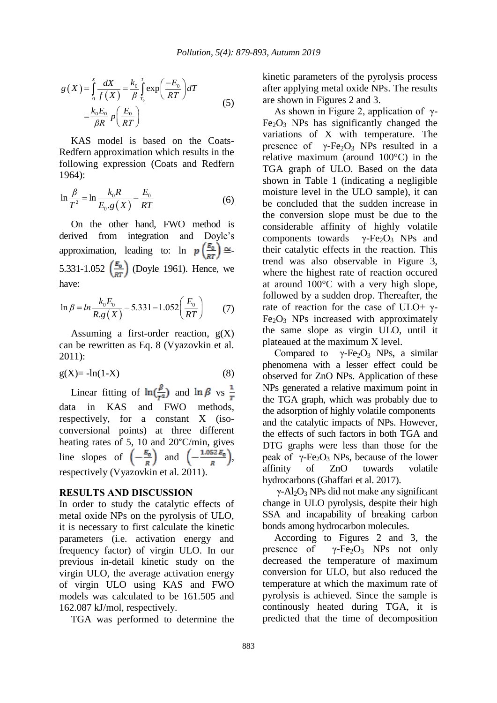$$
g(X) = \int_{0}^{X} \frac{dX}{f(X)} = \frac{k_0}{\beta} \int_{T_0}^{T} \exp\left(\frac{-E_0}{RT}\right) dT
$$
  

$$
= \frac{k_0 E_0}{\beta R} p\left(\frac{E_0}{RT}\right)
$$
 (5)

KAS model is based on the Coats-Redfern approximation which results in the following expression (Coats and Redfern 1964):

$$
\ln \frac{\beta}{T^2} = \ln \frac{k_0 R}{E_0 g(X)} - \frac{E_0}{RT}
$$
 (6)

On the other hand, FWO method is derived from integration and Doyle's approximation, leading to:  $\ln p \left( \frac{E_0}{RT} \right) \cong$ 5.331-1.052  $\left(\frac{E_0}{RT}\right)$  (Doyle 1961). Hence, we have:

$$
\ln \beta = \ln \frac{k_0 E_0}{R. g(X)} - 5.331 - 1.052 \left(\frac{E_0}{RT}\right) \tag{7}
$$

Assuming a first-order reaction,  $g(X)$ can be rewritten as Eq. 8 (Vyazovkin et al. 2011):

$$
g(X) = -\ln(1-X) \tag{8}
$$

Linear fitting of  $\ln(\frac{\beta}{T^2})$  and  $\ln \beta$  vs  $\frac{1}{T}$ data in KAS and FWO methods, respectively, for a constant X (isoconversional points) at three different heating rates of 5, 10 and 20°C/min, gives line slopes of  $\left(-\frac{a_0}{R}\right)$  and  $\left(-\frac{1.052B_0}{R}\right)$ , respectively (Vyazovkin et al. 2011).

# **RESULTS AND DISCUSSION**

In order to study the catalytic effects of metal oxide NPs on the pyrolysis of ULO, it is necessary to first calculate the kinetic parameters (i.e. activation energy and frequency factor) of virgin ULO. In our previous in-detail kinetic study on the virgin ULO, the average activation energy of virgin ULO using KAS and FWO models was calculated to be 161.505 and 162.087 kJ/mol, respectively.

TGA was performed to determine the

kinetic parameters of the pyrolysis process after applying metal oxide NPs. The results are shown in Figures 2 and 3.

As shown in Figure 2, application of  $\gamma$ - $Fe<sub>2</sub>O<sub>3</sub>$  NPs has significantly changed the variations of X with temperature. The presence of γ-Fe<sub>2</sub>O<sub>3</sub> NPs resulted in a relative maximum (around 100°C) in the TGA graph of ULO. Based on the data shown in Table 1 (indicating a negligible moisture level in the ULO sample), it can be concluded that the sudden increase in the conversion slope must be due to the considerable affinity of highly volatile components towards  $\gamma$ -Fe<sub>2</sub>O<sub>3</sub> NPs and their catalytic effects in the reaction. This trend was also observable in Figure 3, where the highest rate of reaction occured at around 100°C with a very high slope, followed by a sudden drop. Thereafter, the rate of reaction for the case of ULO+  $\gamma$ - $Fe<sub>2</sub>O<sub>3</sub>$  NPs increased with approximately the same slope as virgin ULO, until it plateaued at the maximum X level.

Compared to  $\gamma$ -Fe<sub>2</sub>O<sub>3</sub> NPs, a similar phenomena with a lesser effect could be observed for ZnO NPs. Application of these NPs generated a relative maximum point in the TGA graph, which was probably due to the adsorption of highly volatile components and the catalytic impacts of NPs. However, the effects of such factors in both TGA and DTG graphs were less than those for the peak of  $γ$ -Fe<sub>2</sub>O<sub>3</sub> NPs, because of the lower affinity of ZnO towards volatile hydrocarbons (Ghaffari et al. 2017).

 $\gamma$ -Al<sub>2</sub>O<sub>3</sub> NPs did not make any significant change in ULO pyrolysis, despite their high SSA and incapability of breaking carbon bonds among hydrocarbon molecules.

According to Figures 2 and 3, the presence of  $\gamma$ -Fe<sub>2</sub>O<sub>3</sub> NPs not only decreased the temperature of maximum conversion for ULO, but also reduced the temperature at which the maximum rate of pyrolysis is achieved. Since the sample is continously heated during TGA, it is predicted that the time of decomposition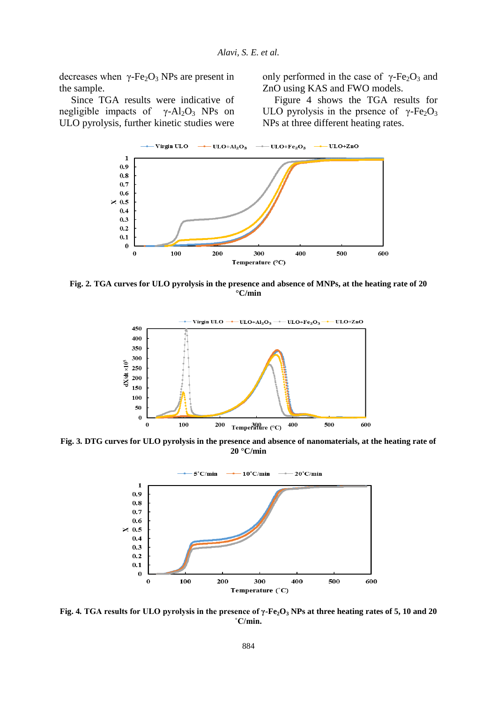decreases when  $\gamma$ -Fe<sub>2</sub>O<sub>3</sub> NPs are present in the sample.

Since TGA results were indicative of negligible impacts of  $\gamma$ -Al<sub>2</sub>O<sub>3</sub> NPs on ULO pyrolysis, further kinetic studies were only performed in the case of  $γ$ -Fe<sub>2</sub>O<sub>3</sub> and ZnO using KAS and FWO models.

Figure 4 shows the TGA results for ULO pyrolysis in the prsence of  $\gamma$ -Fe<sub>2</sub>O<sub>3</sub> NPs at three different heating rates.



**Fig. 2***.* **TGA curves for ULO pyrolysis in the presence and absence of MNPs, at the heating rate of 20 °C/min**



**Fig. 3***.* **DTG curves for ULO pyrolysis in the presence and absence of nanomaterials, at the heating rate of 20 °C/min**



**Fig. 4***.* **TGA results for ULO pyrolysis in the presence of γ-Fe2O<sup>3</sup> NPs at three heating rates of 5, 10 and 20 ˚C/min.**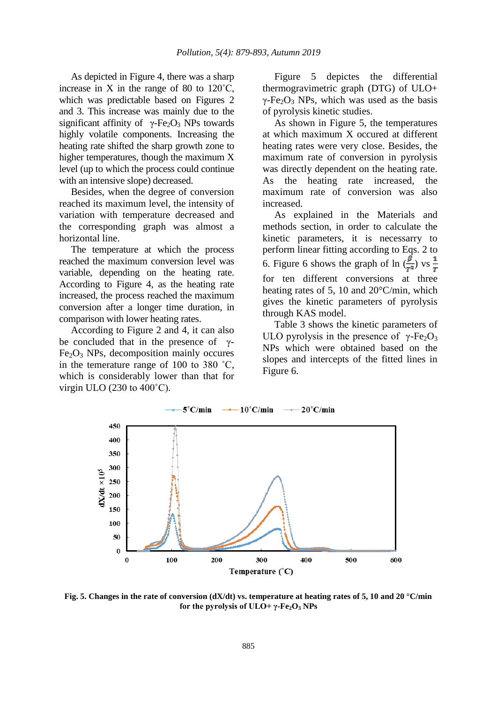As depicted in Figure 4, there was a sharp increase in X in the range of 80 to  $120^{\circ}$ C, which was predictable based on Figures 2 and 3. This increase was mainly due to the significant affinity of  $\gamma$ -Fe<sub>2</sub>O<sub>3</sub> NPs towards highly volatile components. Increasing the heating rate shifted the sharp growth zone to higher temperatures, though the maximum X level (up to which the process could continue with an intensive slope) decreased.

Besides, when the degree of conversion reached its maximum level, the intensity of variation with temperature decreased and the corresponding graph was almost a horizontal line.

The temperature at which the process reached the maximum conversion level was variable, depending on the heating rate. According to Figure 4, as the heating rate increased, the process reached the maximum conversion after a longer time duration, in comparison with lower heating rates.

According to Figure 2 and 4, it can also be concluded that in the presence of  $\gamma$ - $Fe<sub>2</sub>O<sub>3</sub>$  NPs, decomposition mainly occures in the temerature range of 100 to 380 ˚C, which is considerably lower than that for virgin ULO (230 to 400˚C).

Figure 5 depictes the differential thermogravimetric graph (DTG) of ULO+  $γ$ -Fe<sub>2</sub>O<sub>3</sub> NPs, which was used as the basis of pyrolysis kinetic studies.

As shown in Figure 5, the temperatures at which maximum X occured at different heating rates were very close. Besides, the maximum rate of conversion in pyrolysis was directly dependent on the heating rate. As the heating rate increased, the maximum rate of conversion was also increased.

As explained in the Materials and methods section, in order to calculate the kinetic parameters, it is necessarry to perform linear fitting according to Eqs. 2 to 6. Figure 6 shows the graph of ln  $(\frac{\beta}{T^2})$  vs  $\frac{1}{T}$ for ten different conversions at three heating rates of 5, 10 and 20°C/min, which gives the kinetic parameters of pyrolysis through KAS model.

Table 3 shows the kinetic parameters of ULO pyrolysis in the presence of  $\gamma$ -Fe<sub>2</sub>O<sub>3</sub> NPs which were obtained based on the slopes and intercepts of the fitted lines in Figure 6.



**Fig. 5. Changes in the rate of conversion (dX/dt) vs. temperature at heating rates of 5, 10 and 20 °C/min for the pyrolysis of ULO+**  $\gamma$ **-Fe<sub>2</sub>O<sub>3</sub> NPs**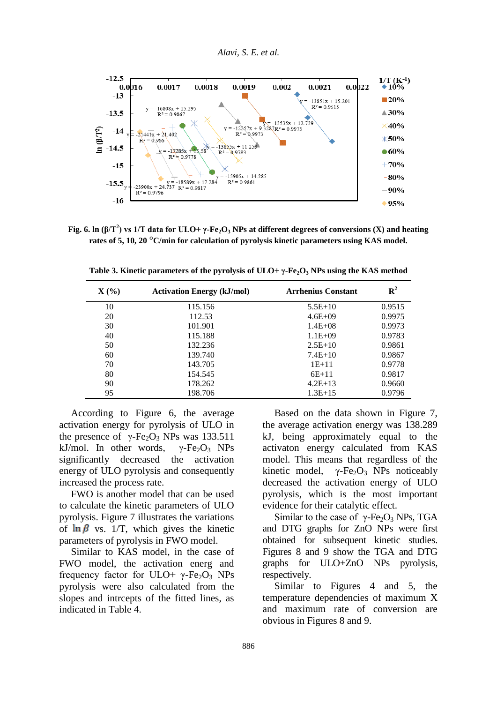



**Fig. 6. ln (β/T<sup>2</sup> ) vs 1/T data for ULO+ γ-Fe2O<sup>3</sup> NPs at different degrees of conversions (X) and heating rates of 5, 10, 20 °C/min for calculation of pyrolysis kinetic parameters using KAS model.**

| $\mathbf{X}(\mathcal{C})$ | <b>Activation Energy (kJ/mol)</b> | <b>Arrhenius Constant</b> | $R^2$  |
|---------------------------|-----------------------------------|---------------------------|--------|
| 10                        | 115.156                           | $5.5E+10$                 | 0.9515 |
| 20                        | 112.53                            | $4.6E + 09$               | 0.9975 |
| 30                        | 101.901                           | $1.4E + 08$               | 0.9973 |
| 40                        | 115.188                           | $1.1E + 09$               | 0.9783 |
| 50                        | 132.236                           | $2.5E+10$                 | 0.9861 |
| 60                        | 139.740                           | $7.4E+10$                 | 0.9867 |
| 70                        | 143.705                           | $1E+11$                   | 0.9778 |
| 80                        | 154.545                           | $6E+11$                   | 0.9817 |
| 90                        | 178.262                           | $4.2E+13$                 | 0.9660 |
| 95                        | 198.706                           | $1.3E+15$                 | 0.9796 |

**Table 3. Kinetic parameters of the pyrolysis of ULO+ γ-Fe2O<sup>3</sup> NPs using the KAS method**

According to Figure 6, the average activation energy for pyrolysis of ULO in the presence of  $γ$ -Fe<sub>2</sub>O<sub>3</sub> NPs was 133.511 kJ/mol. In other words,  $\gamma$ -Fe<sub>2</sub>O<sub>3</sub> NPs significantly decreased the activation energy of ULO pyrolysis and consequently increased the process rate.

FWO is another model that can be used to calculate the kinetic parameters of ULO pyrolysis. Figure 7 illustrates the variations of  $\ln \beta$  vs. 1/T, which gives the kinetic parameters of pyrolysis in FWO model.

Similar to KAS model, in the case of FWO model, the activation energ and frequency factor for ULO+  $\gamma$ -Fe<sub>2</sub>O<sub>3</sub> NPs pyrolysis were also calculated from the slopes and intrcepts of the fitted lines, as indicated in Table 4.

Based on the data shown in Figure 7, the average activation energy was 138.289 kJ, being approximately equal to the activaton energy calculated from KAS model. This means that regardless of the kinetic model,  $\gamma$ -Fe<sub>2</sub>O<sub>3</sub> NPs noticeably decreased the activation energy of ULO pyrolysis, which is the most important evidence for their catalytic effect.

Similar to the case of  $\gamma$ -Fe<sub>2</sub>O<sub>3</sub> NPs, TGA and DTG graphs for ZnO NPs were first obtained for subsequent kinetic studies. Figures 8 and 9 show the TGA and DTG graphs for ULO+ZnO NPs pyrolysis, respectively.

Similar to Figures 4 and 5, the temperature dependencies of maximum X and maximum rate of conversion are obvious in Figures 8 and 9.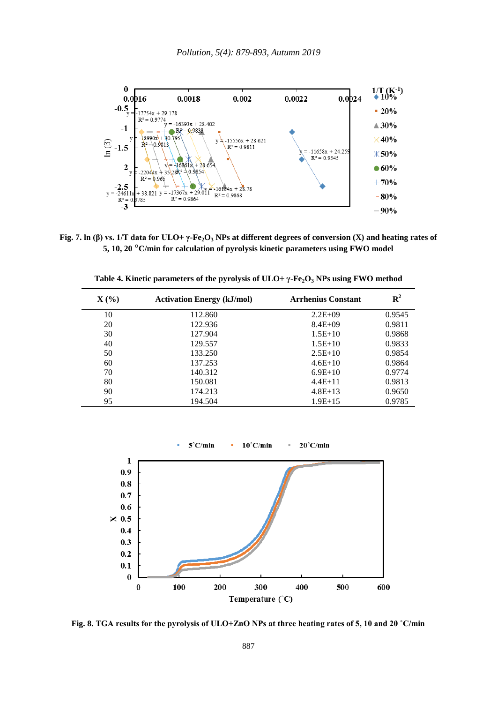

**Fig. 7. ln (β) vs. 1/T data for ULO+ γ-Fe2O<sup>3</sup> NPs at different degrees of conversion (X) and heating rates of 5, 10, 20 °C/min for calculation of pyrolysis kinetic parameters using FWO model**

| $\mathbf{X}$ (%) | <b>Activation Energy (kJ/mol)</b> | <b>Arrhenius Constant</b> | $\mathbf{R}^2$ |
|------------------|-----------------------------------|---------------------------|----------------|
| 10               | 112.860                           | $2.2E+09$                 | 0.9545         |
| 20               | 122.936                           | $8.4E + 09$               | 0.9811         |
| 30               | 127.904                           | $1.5E+10$                 | 0.9868         |
| 40               | 129.557                           | $1.5E+10$                 | 0.9833         |
| 50               | 133.250                           | $2.5E+10$                 | 0.9854         |
| 60               | 137.253                           | $4.6E+10$                 | 0.9864         |
| 70               | 140.312                           | $6.9E+10$                 | 0.9774         |
| 80               | 150.081                           | $4.4E+11$                 | 0.9813         |
| 90               | 174.213                           | $4.8E+13$                 | 0.9650         |
| 95               | 194.504                           | $1.9E+15$                 | 0.9785         |

**Table 4. Kinetic parameters of the pyrolysis of ULO+ γ-Fe2O<sup>3</sup> NPs using FWO method**



**Fig. 8. TGA results for the pyrolysis of ULO+ZnO NPs at three heating rates of 5, 10 and 20 ˚C/min**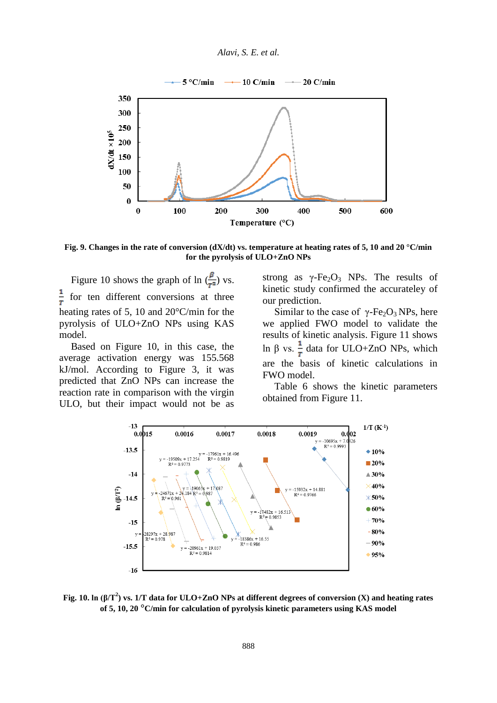



**Fig. 9. Changes in the rate of conversion (dX/dt) vs. temperature at heating rates of 5, 10 and 20 °C/min for the pyrolysis of ULO+ZnO NPs** 

Figure 10 shows the graph of ln  $(\frac{\beta}{r^2})$  vs.  $\frac{1}{T}$ for ten different conversions at three heating rates of 5, 10 and 20°C/min for the pyrolysis of ULO+ZnO NPs using KAS model.

Based on Figure 10, in this case, the average activation energy was 155.568 kJ/mol. According to Figure 3, it was predicted that ZnO NPs can increase the reaction rate in comparison with the virgin ULO, but their impact would not be as strong as  $\gamma$ -Fe<sub>2</sub>O<sub>3</sub> NPs. The results of kinetic study confirmed the accurateley of our prediction.

Similar to the case of  $\gamma$ -Fe<sub>2</sub>O<sub>3</sub> NPs, here we applied FWO model to validate the results of kinetic analysis. Figure 11 shows ln β vs.  $\frac{1}{\tau}$  data for ULO+ZnO NPs, which are the basis of kinetic calculations in FWO model.

Table 6 shows the kinetic parameters obtained from Figure 11.



**Fig. 10. ln (β/T<sup>2</sup> ) vs. 1/T data for ULO+ZnO NPs at different degrees of conversion (X) and heating rates of 5, 10, 20 °C/min for calculation of pyrolysis kinetic parameters using KAS model**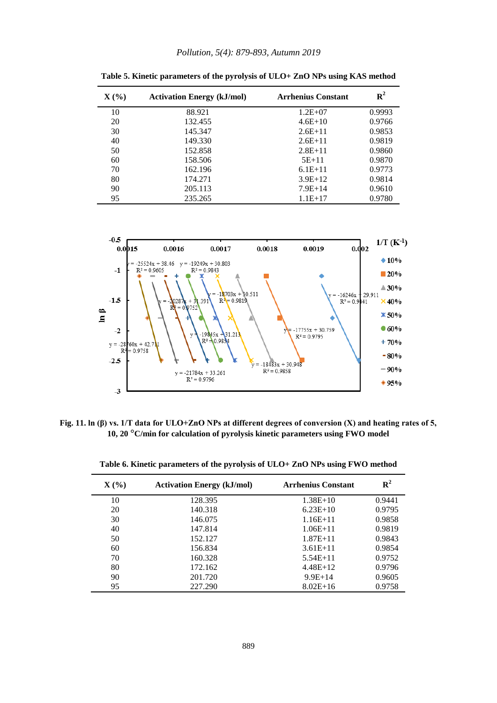| $\mathbf{X}(\mathcal{C})$ | <b>Activation Energy (kJ/mol)</b> | <b>Arrhenius Constant</b> | ${\bf R}^2$ |
|---------------------------|-----------------------------------|---------------------------|-------------|
| 10                        | 88.921                            | $1.2E + 07$               | 0.9993      |
| 20                        | 132.455                           | $4.6E+10$                 | 0.9766      |
| 30                        | 145.347                           | $2.6E+11$                 | 0.9853      |
| 40                        | 149.330                           | $2.6E+11$                 | 0.9819      |
| 50                        | 152.858                           | $2.8E+11$                 | 0.9860      |
| 60                        | 158.506                           | $5E+11$                   | 0.9870      |
| 70                        | 162.196                           | $6.1E+11$                 | 0.9773      |
| 80                        | 174.271                           | $3.9E+12$                 | 0.9814      |
| 90                        | 205.113                           | $7.9E+14$                 | 0.9610      |
| 95                        | 235.265                           | $1.1E+17$                 | 0.9780      |

**Table 5. Kinetic parameters of the pyrolysis of ULO+ ZnO NPs using KAS method**



**Fig. 11. ln (β) vs. 1/T data for ULO+ZnO NPs at different degrees of conversion (X) and heating rates of 5, 10, 20 °C/min for calculation of pyrolysis kinetic parameters using FWO model**

| $\mathbf{X}(\mathcal{C})$ | <b>Activation Energy (kJ/mol)</b> | <b>Arrhenius Constant</b> | $\mathbf{R}^2$ |
|---------------------------|-----------------------------------|---------------------------|----------------|
| 10                        | 128.395                           | $1.38E+10$                | 0.9441         |
| 20                        | 140.318                           | $6.23E+10$                | 0.9795         |
| 30                        | 146.075                           | $1.16E+11$                | 0.9858         |
| 40                        | 147.814                           | $1.06E + 11$              | 0.9819         |
| 50                        | 152.127                           | $1.87E + 11$              | 0.9843         |
| 60                        | 156.834                           | $3.61E + 11$              | 0.9854         |
| 70                        | 160.328                           | $5.54E+11$                | 0.9752         |
| 80                        | 172.162                           | $4.48E+12$                | 0.9796         |
| 90                        | 201.720                           | $9.9E + 14$               | 0.9605         |
| 95                        | 227.290                           | $8.02E+16$                | 0.9758         |

**Table 6. Kinetic parameters of the pyrolysis of ULO+ ZnO NPs using FWO method**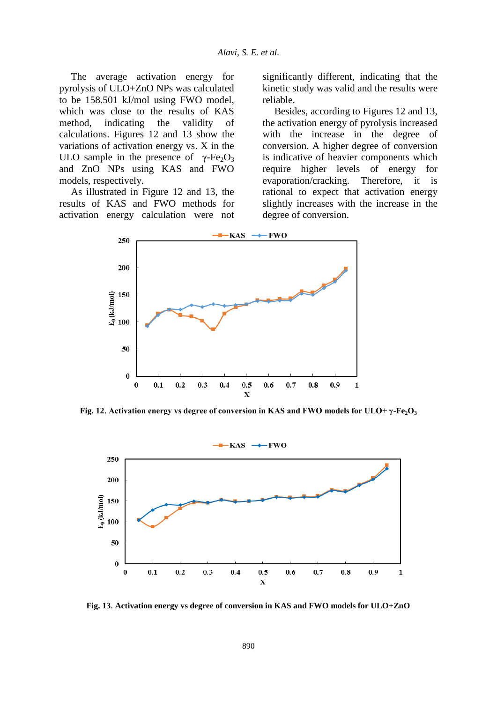The average activation energy for pyrolysis of ULO+ZnO NPs was calculated to be 158.501 kJ/mol using FWO model, which was close to the results of KAS method, indicating the validity of calculations. Figures 12 and 13 show the variations of activation energy vs. X in the ULO sample in the presence of  $\gamma$ -Fe<sub>2</sub>O<sub>3</sub> and ZnO NPs using KAS and FWO models, respectively.

As illustrated in Figure 12 and 13, the results of KAS and FWO methods for activation energy calculation were not significantly different, indicating that the kinetic study was valid and the results were reliable.

Besides, according to Figures 12 and 13, the activation energy of pyrolysis increased with the increase in the degree of conversion. A higher degree of conversion is indicative of heavier components which require higher levels of energy for evaporation/cracking. Therefore, it is rational to expect that activation energy slightly increases with the increase in the degree of conversion.



**Fig. 12**. **Activation energy vs degree of conversion in KAS and FWO models for ULO+ γ-Fe2O<sup>3</sup>**



**Fig. 13**. **Activation energy vs degree of conversion in KAS and FWO models for ULO+ZnO**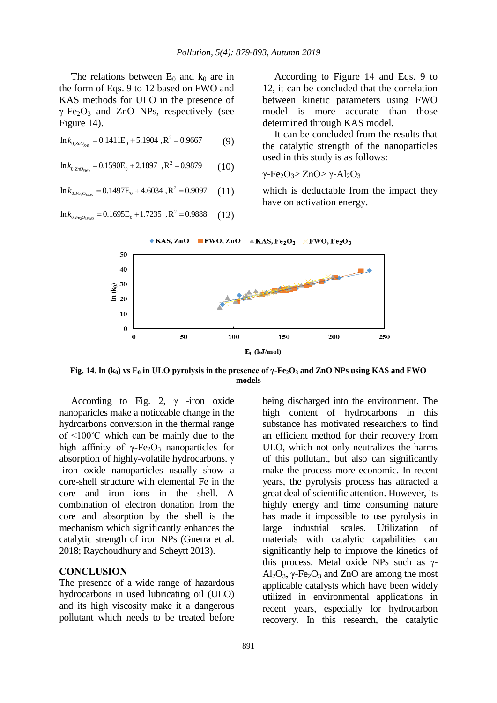The relations between  $E_0$  and  $k_0$  are in the form of Eqs. 9 to 12 based on FWO and KAS methods for ULO in the presence of  $\gamma$ -Fe<sub>2</sub>O<sub>3</sub> and ZnO NPs, respectively (see Figure 14).

2  $\ln k_{0, ZnO_{KAS}} = 0.1411E_0 + 5.1904$ ,  $R^2 = 0.9667$ (9)

$$
\ln k_{0, ZnO_{FWD}} = 0.1590E_0 + 2.1897, R^2 = 0.9879 \tag{10}
$$

 $_{2}O_{3KAS} = 0.1497E_0 + 4.6034, R^2$  $\ln k_{0, Fe_2O_{3KAS}} = 0.1497E_0 + 4.6034$ ,  $R^2 = 0.9097$ (11)

$$
\ln k_{0,Fe_2O_{\text{3FWO}}} = 0.1695E_0 + 1.7235 \, R^2 = 0.9888 \qquad (12)
$$

According to Figure 14 and Eqs. 9 to 12, it can be concluded that the correlation between kinetic parameters using FWO model is more accurate than those determined through KAS model.

It can be concluded from the results that the catalytic strength of the nanoparticles used in this study is as follows:

γ-Fe<sub>2</sub>O<sub>3</sub>> ZnO> γ-Al<sub>2</sub>O<sub>3</sub>

which is deductable from the impact they have on activation energy.



**Fig. 14**. **ln (k0) vs E<sup>0</sup> in ULO pyrolysis in the presence of γ-Fe2O<sup>3</sup> and ZnO NPs using KAS and FWO models**

According to Fig. 2,  $\gamma$  -iron oxide nanoparicles make a noticeable change in the hydrcarbons conversion in the thermal range of <100˚C which can be mainly due to the high affinity of  $\gamma$ -Fe<sub>2</sub>O<sub>3</sub> nanoparticles for absorption of highly-volatile hydrocarbons. γ -iron oxide nanoparticles usually show a core-shell structure with elemental Fe in the core and iron ions in the shell. A combination of electron donation from the core and absorption by the shell is the mechanism which significantly enhances the catalytic strength of iron NPs (Guerra et al. 2018; Raychoudhury and Scheytt 2013).

## **CONCLUSION**

The presence of a wide range of hazardous hydrocarbons in used lubricating oil (ULO) and its high viscosity make it a dangerous pollutant which needs to be treated before being discharged into the environment. The high content of hydrocarbons in this substance has motivated researchers to find an efficient method for their recovery from ULO, which not only neutralizes the harms of this pollutant, but also can significantly make the process more economic. In recent years, the pyrolysis process has attracted a great deal of scientific attention. However, its highly energy and time consuming nature has made it impossible to use pyrolysis in large industrial scales. Utilization of materials with catalytic capabilities can significantly help to improve the kinetics of this process. Metal oxide NPs such as  $γ$ - $Al_2O_3$ ,  $\gamma$ -Fe<sub>2</sub>O<sub>3</sub> and ZnO are among the most applicable catalysts which have been widely utilized in environmental applications in recent years, especially for hydrocarbon recovery. In this research, the catalytic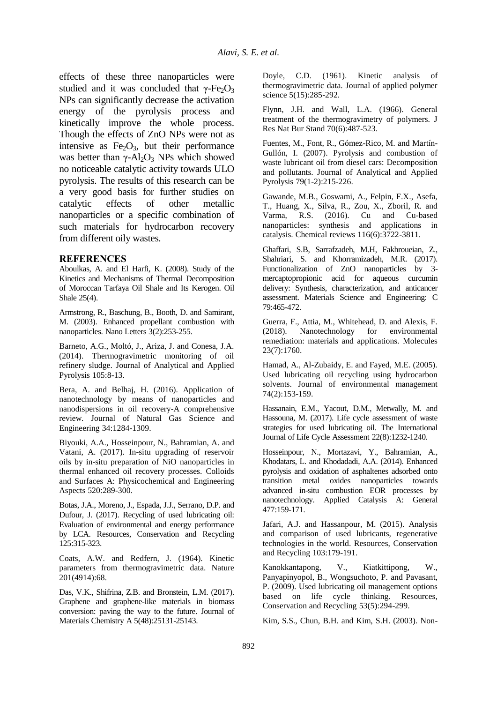effects of these three nanoparticles were studied and it was concluded that  $\gamma$ -Fe<sub>2</sub>O<sub>3</sub> NPs can significantly decrease the activation energy of the pyrolysis process and kinetically improve the whole process. Though the effects of ZnO NPs were not as intensive as  $Fe<sub>2</sub>O<sub>3</sub>$ , but their performance was better than  $\gamma$ -Al<sub>2</sub>O<sub>3</sub> NPs which showed no noticeable catalytic activity towards ULO pyrolysis. The results of this research can be a very good basis for further studies on catalytic effects of other metallic nanoparticles or a specific combination of such materials for hydrocarbon recovery from different oily wastes.

### **REFERENCES**

Aboulkas, A. and El Harfi, K. (2008). Study of the Kinetics and Mechanisms of Thermal Decomposition of Moroccan Tarfaya Oil Shale and Its Kerogen. Oil Shale 25(4).

Armstrong, R., Baschung, B., Booth, D. and Samirant, M. (2003). Enhanced propellant combustion with nanoparticles. Nano Letters 3(2):253-255.

Barneto, A.G., Moltó, J., Ariza, J. and Conesa, J.A. (2014). Thermogravimetric monitoring of oil refinery sludge. Journal of Analytical and Applied Pyrolysis 105:8-13.

Bera, A. and Belhaj, H. (2016). Application of nanotechnology by means of nanoparticles and nanodispersions in oil recovery-A comprehensive review. Journal of Natural Gas Science and Engineering 34:1284-1309.

Biyouki, A.A., Hosseinpour, N., Bahramian, A. and Vatani, A. (2017). In-situ upgrading of reservoir oils by in-situ preparation of NiO nanoparticles in thermal enhanced oil recovery processes. Colloids and Surfaces A: Physicochemical and Engineering Aspects 520:289-300.

Botas, J.A., Moreno, J., Espada, J.J., Serrano, D.P. and Dufour, J. (2017). Recycling of used lubricating oil: Evaluation of environmental and energy performance by LCA. Resources, Conservation and Recycling 125:315-323.

Coats, A.W. and Redfern, J. (1964). Kinetic parameters from thermogravimetric data. Nature 201(4914):68.

Das, V.K., Shifrina, Z.B. and Bronstein, L.M. (2017). Graphene and graphene-like materials in biomass conversion: paving the way to the future. Journal of Materials Chemistry A 5(48):25131-25143.

Doyle, C.D. (1961). Kinetic analysis of thermogravimetric data. Journal of applied polymer science 5(15):285-292.

Flynn, J.H. and Wall, L.A. (1966). General treatment of the thermogravimetry of polymers. J Res Nat Bur Stand 70(6):487-523.

Fuentes, M., Font, R., Gómez-Rico, M. and Martín-Gullón, I. (2007). Pyrolysis and combustion of waste lubricant oil from diesel cars: Decomposition and pollutants. Journal of Analytical and Applied Pyrolysis 79(1-2):215-226.

Gawande, M.B., Goswami, A., Felpin, F.X., Asefa, T., Huang, X., Silva, R., Zou, X., Zboril, R. and R.S. (2016). Cu and Cu-based<br>icles: synthesis and applications in nanoparticles: synthesis and catalysis. Chemical reviews 116(6):3722-3811.

Ghaffari, S.B, Sarrafzadeh, M.H, Fakhroueian, Z., Shahriari, S. and Khorramizadeh, M.R. (2017). Functionalization of ZnO nanoparticles by 3 mercaptopropionic acid for aqueous curcumin delivery: Synthesis, characterization, and anticancer assessment. Materials Science and Engineering: C 79:465-472.

Guerra, F., Attia, M., Whitehead, D. and Alexis, F. (2018). Nanotechnology for environmental remediation: materials and applications. Molecules 23(7):1760.

Hamad, A., Al-Zubaidy, E. and Fayed, M.E. (2005). Used lubricating oil recycling using hydrocarbon solvents. Journal of environmental management 74(2):153-159.

Hassanain, E.M., Yacout, D.M., Metwally, M. and Hassouna, M. (2017). Life cycle assessment of waste strategies for used lubricating oil. The International Journal of Life Cycle Assessment 22(8):1232-1240.

Hosseinpour, N., Mortazavi, Y., Bahramian, A., Khodatars, L. and Khodadadi, A.A. (2014). Enhanced pyrolysis and oxidation of asphaltenes adsorbed onto transition metal oxides nanoparticles towards advanced in-situ combustion EOR processes by nanotechnology. Applied Catalysis A: General 477:159-171.

Jafari, A.J. and Hassanpour, M. (2015). Analysis and comparison of used lubricants, regenerative technologies in the world. Resources, Conservation and Recycling 103:179-191.

Kanokkantapong, V., Kiatkittipong, W., Panyapinyopol, B., Wongsuchoto, P. and Pavasant, P. (2009). Used lubricating oil management options based on life cycle thinking. Resources, Conservation and Recycling 53(5):294-299.

Kim, S.S., Chun, B.H. and Kim, S.H. (2003). Non-